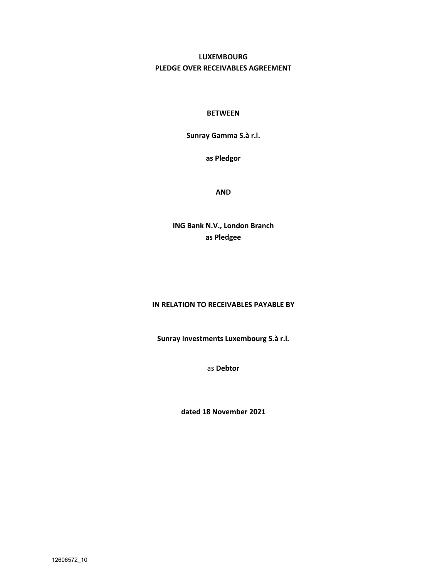# **LUXEMBOURG PLEDGE OVER RECEIVABLES AGREEMENT**

### **BETWEEN**

**Sunray Gamma S.à r.l.**

**as Pledgor**

**AND** 

**ING Bank N.V., London Branch as Pledgee**

#### **IN RELATION TO RECEIVABLES PAYABLE BY**

**Sunray Investments Luxembourg S.à r.l.**

as **Debtor** 

**dated 18 November 2021**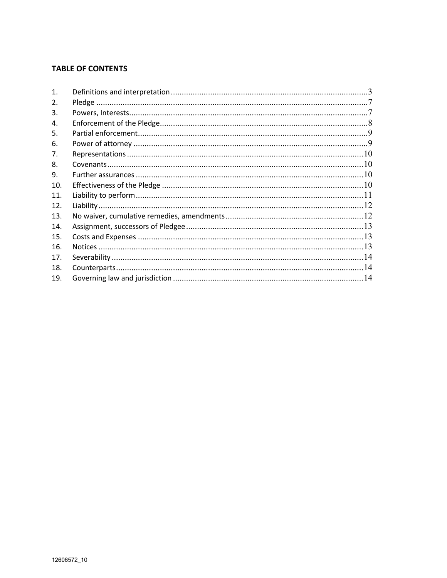## **TABLE OF CONTENTS**

| $\mathbf{1}$ . |  |
|----------------|--|
| 2.             |  |
| 3.             |  |
| 4.             |  |
| 5.             |  |
| 6.             |  |
| 7.             |  |
| 8.             |  |
| 9.             |  |
| 10.            |  |
| 11.            |  |
| 12.            |  |
| 13.            |  |
| 14.            |  |
| 15.            |  |
| 16.            |  |
| 17.            |  |
| 18.            |  |
| 19.            |  |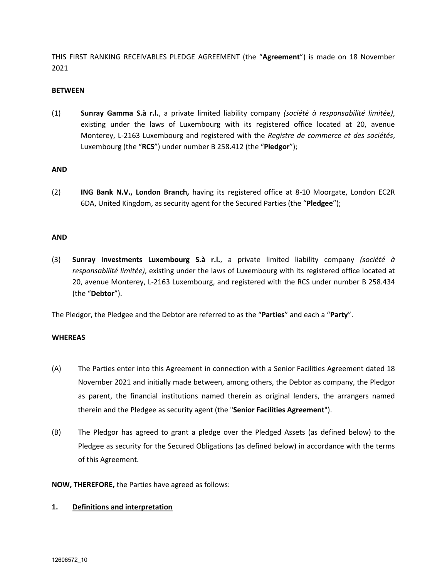THIS FIRST RANKING RECEIVABLES PLEDGE AGREEMENT (the "**Agreement**") is made on 18 November 2021

#### **BETWEEN**

(1) **Sunray Gamma S.à r.l.**, a private limited liability company *(société à responsabilité limitée)*, existing under the laws of Luxembourg with its registered office located at 20, avenue Monterey, L-2163 Luxembourg and registered with the *Registre de commerce et des sociétés*, Luxembourg (the "**RCS**") under number B 258.412 (the "**Pledgor**");

### **AND**

(2) **ING Bank N.V., London Branch,** having its registered office at 8-10 Moorgate, London EC2R 6DA, United Kingdom, as security agent for the Secured Parties (the "**Pledgee**");

### **AND**

(3) **Sunray Investments Luxembourg S.à r.l.**, a private limited liability company *(société à responsabilité limitée)*, existing under the laws of Luxembourg with its registered office located at 20, avenue Monterey, L-2163 Luxembourg, and registered with the RCS under number B 258.434 (the "**Debtor**").

The Pledgor, the Pledgee and the Debtor are referred to as the "**Parties**" and each a "**Party**".

## **WHEREAS**

- (A) The Parties enter into this Agreement in connection with a Senior Facilities Agreement dated 18 November 2021 and initially made between, among others, the Debtor as company, the Pledgor as parent, the financial institutions named therein as original lenders, the arrangers named therein and the Pledgee as security agent (the "**Senior Facilities Agreement**").
- (B) The Pledgor has agreed to grant a pledge over the Pledged Assets (as defined below) to the Pledgee as security for the Secured Obligations (as defined below) in accordance with the terms of this Agreement.

**NOW, THEREFORE,** the Parties have agreed as follows:

#### **1. Definitions and interpretation**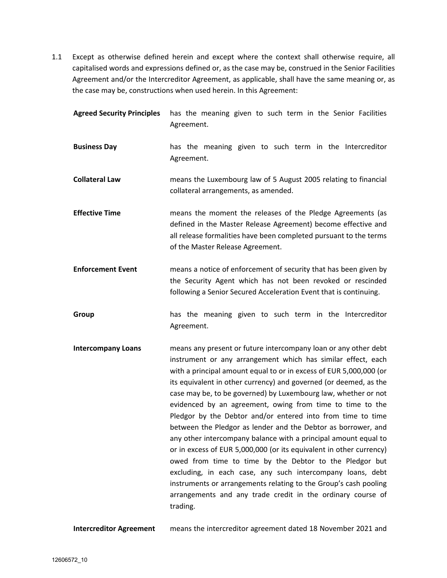1.1 Except as otherwise defined herein and except where the context shall otherwise require, all capitalised words and expressions defined or, as the case may be, construed in the Senior Facilities Agreement and/or the Intercreditor Agreement, as applicable, shall have the same meaning or, as the case may be, constructions when used herein. In this Agreement:

| <b>Agreed Security Principles</b> | has the meaning given to such term in the Senior Facilities<br>Agreement.                                                                                                                                                                                                                                                                                                                                                                                                                                                                                                                                                                                                                                                                                                                                                                                                                                                                                   |
|-----------------------------------|-------------------------------------------------------------------------------------------------------------------------------------------------------------------------------------------------------------------------------------------------------------------------------------------------------------------------------------------------------------------------------------------------------------------------------------------------------------------------------------------------------------------------------------------------------------------------------------------------------------------------------------------------------------------------------------------------------------------------------------------------------------------------------------------------------------------------------------------------------------------------------------------------------------------------------------------------------------|
| <b>Business Day</b>               | has the meaning given to such term in the Intercreditor<br>Agreement.                                                                                                                                                                                                                                                                                                                                                                                                                                                                                                                                                                                                                                                                                                                                                                                                                                                                                       |
| <b>Collateral Law</b>             | means the Luxembourg law of 5 August 2005 relating to financial<br>collateral arrangements, as amended.                                                                                                                                                                                                                                                                                                                                                                                                                                                                                                                                                                                                                                                                                                                                                                                                                                                     |
| <b>Effective Time</b>             | means the moment the releases of the Pledge Agreements (as<br>defined in the Master Release Agreement) become effective and<br>all release formalities have been completed pursuant to the terms<br>of the Master Release Agreement.                                                                                                                                                                                                                                                                                                                                                                                                                                                                                                                                                                                                                                                                                                                        |
| <b>Enforcement Event</b>          | means a notice of enforcement of security that has been given by<br>the Security Agent which has not been revoked or rescinded<br>following a Senior Secured Acceleration Event that is continuing.                                                                                                                                                                                                                                                                                                                                                                                                                                                                                                                                                                                                                                                                                                                                                         |
| Group                             | has the meaning given to such term in the Intercreditor<br>Agreement.                                                                                                                                                                                                                                                                                                                                                                                                                                                                                                                                                                                                                                                                                                                                                                                                                                                                                       |
| <b>Intercompany Loans</b>         | means any present or future intercompany loan or any other debt<br>instrument or any arrangement which has similar effect, each<br>with a principal amount equal to or in excess of EUR 5,000,000 (or<br>its equivalent in other currency) and governed (or deemed, as the<br>case may be, to be governed) by Luxembourg law, whether or not<br>evidenced by an agreement, owing from time to time to the<br>Pledgor by the Debtor and/or entered into from time to time<br>between the Pledgor as lender and the Debtor as borrower, and<br>any other intercompany balance with a principal amount equal to<br>or in excess of EUR 5,000,000 (or its equivalent in other currency)<br>owed from time to time by the Debtor to the Pledgor but<br>excluding, in each case, any such intercompany loans, debt<br>instruments or arrangements relating to the Group's cash pooling<br>arrangements and any trade credit in the ordinary course of<br>trading. |

**Intercreditor Agreement** means the intercreditor agreement dated 18 November 2021 and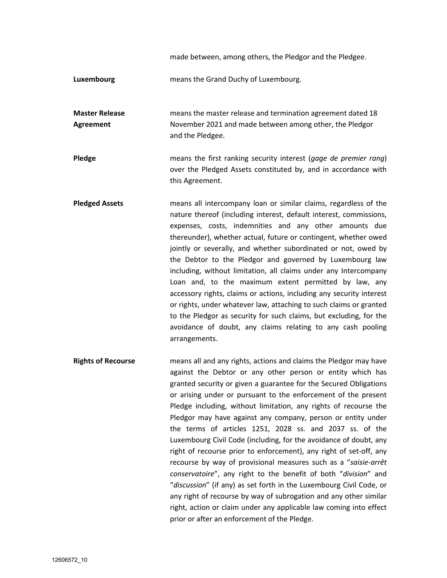made between, among others, the Pledgor and the Pledgee.

**Luxembourg** means the Grand Duchy of Luxembourg.

**Master Release Agreement**  means the master release and termination agreement dated 18 November 2021 and made between among other, the Pledgor and the Pledgee.

**Pledge** means the first ranking security interest (*gage de premier rang*) over the Pledged Assets constituted by, and in accordance with this Agreement.

- **Pledged Assets** means all intercompany loan or similar claims, regardless of the nature thereof (including interest, default interest, commissions, expenses, costs, indemnities and any other amounts due thereunder), whether actual, future or contingent, whether owed jointly or severally, and whether subordinated or not, owed by the Debtor to the Pledgor and governed by Luxembourg law including, without limitation, all claims under any Intercompany Loan and, to the maximum extent permitted by law, any accessory rights, claims or actions, including any security interest or rights, under whatever law, attaching to such claims or granted to the Pledgor as security for such claims, but excluding, for the avoidance of doubt, any claims relating to any cash pooling arrangements.
- **Rights of Recourse** means all and any rights, actions and claims the Pledgor may have against the Debtor or any other person or entity which has granted security or given a guarantee for the Secured Obligations or arising under or pursuant to the enforcement of the present Pledge including, without limitation, any rights of recourse the Pledgor may have against any company, person or entity under the terms of articles 1251, 2028 ss. and 2037 ss. of the Luxembourg Civil Code (including, for the avoidance of doubt, any right of recourse prior to enforcement), any right of set-off, any recourse by way of provisional measures such as a "*saisie-arrêt conservatoire*", any right to the benefit of both "*division*" and "*discussion*" (if any) as set forth in the Luxembourg Civil Code, or any right of recourse by way of subrogation and any other similar right, action or claim under any applicable law coming into effect prior or after an enforcement of the Pledge.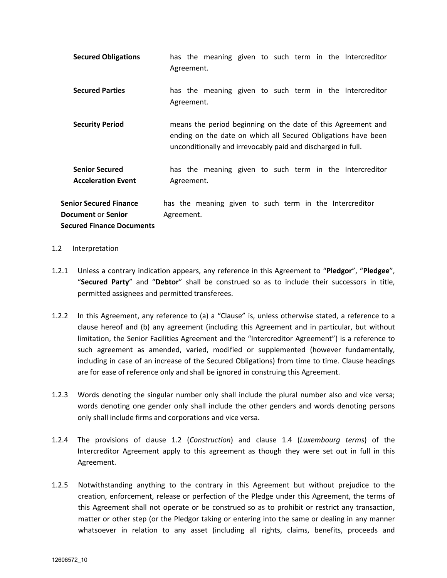| <b>Secured Obligations</b>                                                                     | has the meaning given to such term in the Intercreditor<br>Agreement.                                                                                                                         |  |  |
|------------------------------------------------------------------------------------------------|-----------------------------------------------------------------------------------------------------------------------------------------------------------------------------------------------|--|--|
| <b>Secured Parties</b>                                                                         | has the meaning given to such term in the Intercreditor<br>Agreement.                                                                                                                         |  |  |
| <b>Security Period</b>                                                                         | means the period beginning on the date of this Agreement and<br>ending on the date on which all Secured Obligations have been<br>unconditionally and irrevocably paid and discharged in full. |  |  |
| <b>Senior Secured</b><br><b>Acceleration Event</b>                                             | has the meaning given to such term in the Intercreditor<br>Agreement.                                                                                                                         |  |  |
| <b>Senior Secured Finance</b><br><b>Document or Senior</b><br><b>Secured Finance Documents</b> | has the meaning given to such term in the Intercreditor<br>Agreement.                                                                                                                         |  |  |

#### 1.2 Interpretation

- 1.2.1 Unless a contrary indication appears, any reference in this Agreement to "**Pledgor**", "**Pledgee**", "**Secured Party**" and "**Debtor**" shall be construed so as to include their successors in title, permitted assignees and permitted transferees.
- 1.2.2 In this Agreement, any reference to (a) a "Clause" is, unless otherwise stated, a reference to a clause hereof and (b) any agreement (including this Agreement and in particular, but without limitation, the Senior Facilities Agreement and the "Intercreditor Agreement") is a reference to such agreement as amended, varied, modified or supplemented (however fundamentally, including in case of an increase of the Secured Obligations) from time to time. Clause headings are for ease of reference only and shall be ignored in construing this Agreement.
- 1.2.3 Words denoting the singular number only shall include the plural number also and vice versa; words denoting one gender only shall include the other genders and words denoting persons only shall include firms and corporations and vice versa.
- 1.2.4 The provisions of clause 1.2 (*Construction*) and clause 1.4 (*Luxembourg terms*) of the Intercreditor Agreement apply to this agreement as though they were set out in full in this Agreement.
- 1.2.5 Notwithstanding anything to the contrary in this Agreement but without prejudice to the creation, enforcement, release or perfection of the Pledge under this Agreement, the terms of this Agreement shall not operate or be construed so as to prohibit or restrict any transaction, matter or other step (or the Pledgor taking or entering into the same or dealing in any manner whatsoever in relation to any asset (including all rights, claims, benefits, proceeds and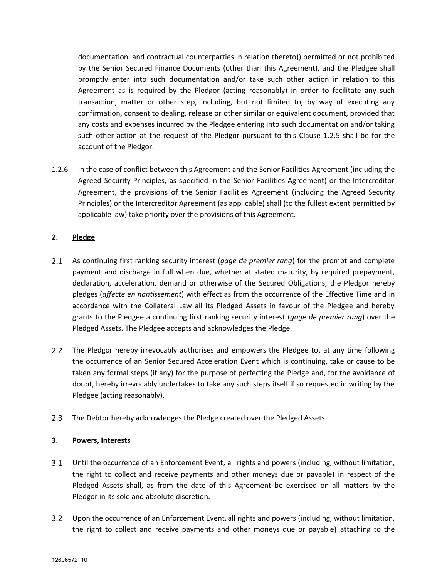documentation, and contractual counterparties in relation thereto)) permitted or not prohibited by the Senior Secured Finance Documents (other than this Agreement), and the Pledgee shall promptly enter into such documentation and/or take such other action in relation to this Agreement as is required by the Pledgor (acting reasonably) in order to facilitate any such transaction, matter or other step, including, but not limited to, by way of executing any confirmation, consent to dealing, release or other similar or equivalent document, provided that any costs and expenses incurred by the Pledgee entering into such documentation and/or taking such other action at the request of the Pledgor pursuant to this Clause 1.2.5 shall be for the account of the Pledgor.

1.2.6 In the case of conflict between this Agreement and the Senior Facilities Agreement (including the Agreed Security Principles, as specified in the Senior Facilities Agreement) or the Intercreditor Agreement, the provisions of the Senior Facilities Agreement (including the Agreed Security Principles) or the Intercreditor Agreement (as applicable) shall (to the fullest extent permitted by applicable law) take priority over the provisions of this Agreement.

## **2. Pledge**

- $2.1$ As continuing first ranking security interest (*gage de premier rang*) for the prompt and complete payment and discharge in full when due, whether at stated maturity, by required prepayment, declaration, acceleration, demand or otherwise of the Secured Obligations, the Pledgor hereby pledges (*affecte en nantissement*) with effect as from the occurrence of the Effective Time and in accordance with the Collateral Law all its Pledged Assets in favour of the Pledgee and hereby grants to the Pledgee a continuing first ranking security interest (*gage de premier rang*) over the Pledged Assets. The Pledgee accepts and acknowledges the Pledge.
- $2.2$ The Pledgor hereby irrevocably authorises and empowers the Pledgee to, at any time following the occurrence of an Senior Secured Acceleration Event which is continuing, take or cause to be taken any formal steps (if any) for the purpose of perfecting the Pledge and, for the avoidance of doubt, hereby irrevocably undertakes to take any such steps itself if so requested in writing by the Pledgee (acting reasonably).
- $2.3$ The Debtor hereby acknowledges the Pledge created over the Pledged Assets.

## **3. Powers, Interests**

- $3.1$ Until the occurrence of an Enforcement Event, all rights and powers (including, without limitation, the right to collect and receive payments and other moneys due or payable) in respect of the Pledged Assets shall, as from the date of this Agreement be exercised on all matters by the Pledgor in its sole and absolute discretion.
- Upon the occurrence of an Enforcement Event, all rights and powers (including, without limitation,  $3.2$ the right to collect and receive payments and other moneys due or payable) attaching to the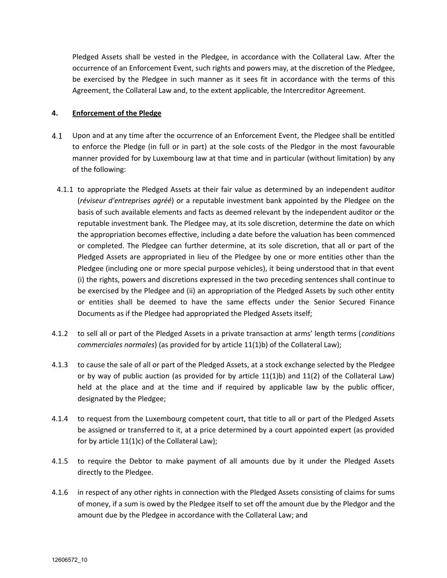Pledged Assets shall be vested in the Pledgee, in accordance with the Collateral Law. After the occurrence of an Enforcement Event, such rights and powers may, at the discretion of the Pledgee, be exercised by the Pledgee in such manner as it sees fit in accordance with the terms of this Agreement, the Collateral Law and, to the extent applicable, the Intercreditor Agreement.

### **4. Enforcement of the Pledge**

- $4.1$ Upon and at any time after the occurrence of an Enforcement Event, the Pledgee shall be entitled to enforce the Pledge (in full or in part) at the sole costs of the Pledgor in the most favourable manner provided for by Luxembourg law at that time and in particular (without limitation) by any of the following:
- 4.1.1 to appropriate the Pledged Assets at their fair value as determined by an independent auditor (*réviseur d'entreprises agréé*) or a reputable investment bank appointed by the Pledgee on the basis of such available elements and facts as deemed relevant by the independent auditor or the reputable investment bank. The Pledgee may, at its sole discretion, determine the date on which the appropriation becomes effective, including a date before the valuation has been commenced or completed. The Pledgee can further determine, at its sole discretion, that all or part of the Pledged Assets are appropriated in lieu of the Pledgee by one or more entities other than the Pledgee (including one or more special purpose vehicles), it being understood that in that event (i) the rights, powers and discretions expressed in the two preceding sentences shall continue to be exercised by the Pledgee and (ii) an appropriation of the Pledged Assets by such other entity or entities shall be deemed to have the same effects under the Senior Secured Finance Documents as if the Pledgee had appropriated the Pledged Assets itself;
- 4.1.2 to sell all or part of the Pledged Assets in a private transaction at arms' length terms (*conditions commerciales normales*) (as provided for by article 11(1)b) of the Collateral Law);
- 4.1.3 to cause the sale of all or part of the Pledged Assets, at a stock exchange selected by the Pledgee or by way of public auction (as provided for by article 11(1)b) and 11(2) of the Collateral Law) held at the place and at the time and if required by applicable law by the public officer, designated by the Pledgee;
- 4.1.4 to request from the Luxembourg competent court, that title to all or part of the Pledged Assets be assigned or transferred to it, at a price determined by a court appointed expert (as provided for by article 11(1)c) of the Collateral Law);
- 4.1.5 to require the Debtor to make payment of all amounts due by it under the Pledged Assets directly to the Pledgee.
- 4.1.6 in respect of any other rights in connection with the Pledged Assets consisting of claims for sums of money, if a sum is owed by the Pledgee itself to set off the amount due by the Pledgor and the amount due by the Pledgee in accordance with the Collateral Law; and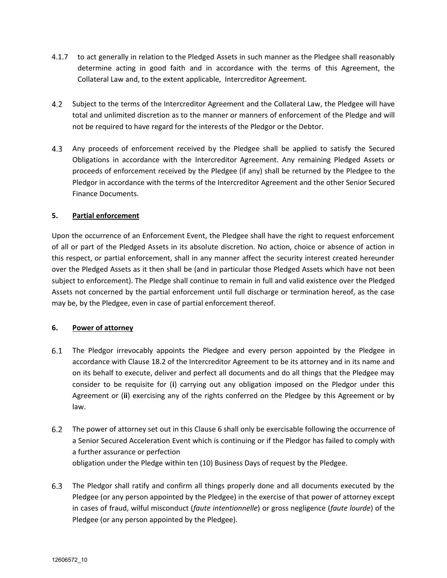- 4.1.7 to act generally in relation to the Pledged Assets in such manner as the Pledgee shall reasonably determine acting in good faith and in accordance with the terms of this Agreement, the Collateral Law and, to the extent applicable, Intercreditor Agreement.
- $4.2$ Subject to the terms of the Intercreditor Agreement and the Collateral Law, the Pledgee will have total and unlimited discretion as to the manner or manners of enforcement of the Pledge and will not be required to have regard for the interests of the Pledgor or the Debtor.
- Any proceeds of enforcement received by the Pledgee shall be applied to satisfy the Secured Obligations in accordance with the Intercreditor Agreement. Any remaining Pledged Assets or proceeds of enforcement received by the Pledgee (if any) shall be returned by the Pledgee to the Pledgor in accordance with the terms of the Intercreditor Agreement and the other Senior Secured Finance Documents.

### **5. Partial enforcement**

Upon the occurrence of an Enforcement Event, the Pledgee shall have the right to request enforcement of all or part of the Pledged Assets in its absolute discretion. No action, choice or absence of action in this respect, or partial enforcement, shall in any manner affect the security interest created hereunder over the Pledged Assets as it then shall be (and in particular those Pledged Assets which have not been subject to enforcement). The Pledge shall continue to remain in full and valid existence over the Pledged Assets not concerned by the partial enforcement until full discharge or termination hereof, as the case may be, by the Pledgee, even in case of partial enforcement thereof.

#### **6. Power of attorney**

- 6.1 The Pledgor irrevocably appoints the Pledgee and every person appointed by the Pledgee in accordance with Clause 18.2 of the Intercreditor Agreement to be its attorney and in its name and on its behalf to execute, deliver and perfect all documents and do all things that the Pledgee may consider to be requisite for (**i**) carrying out any obligation imposed on the Pledgor under this Agreement or (**ii**) exercising any of the rights conferred on the Pledgee by this Agreement or by law.
- $6.2$ The power of attorney set out in this Clause 6 shall only be exercisable following the occurrence of a Senior Secured Acceleration Event which is continuing or if the Pledgor has failed to comply with a further assurance or perfection obligation under the Pledge within ten (10) Business Days of request by the Pledgee.
- 6.3 The Pledgor shall ratify and confirm all things properly done and all documents executed by the Pledgee (or any person appointed by the Pledgee) in the exercise of that power of attorney except in cases of fraud, wilful misconduct (*faute intentionnelle*) or gross negligence (*faute lourde*) of the Pledgee (or any person appointed by the Pledgee).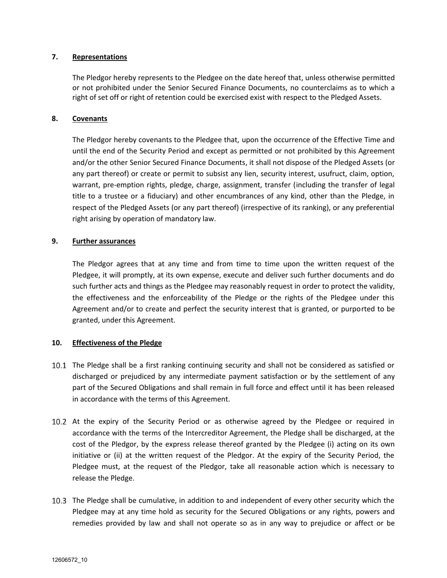#### **7. Representations**

The Pledgor hereby represents to the Pledgee on the date hereof that, unless otherwise permitted or not prohibited under the Senior Secured Finance Documents, no counterclaims as to which a right of set off or right of retention could be exercised exist with respect to the Pledged Assets.

#### **8. Covenants**

The Pledgor hereby covenants to the Pledgee that, upon the occurrence of the Effective Time and until the end of the Security Period and except as permitted or not prohibited by this Agreement and/or the other Senior Secured Finance Documents, it shall not dispose of the Pledged Assets (or any part thereof) or create or permit to subsist any lien, security interest, usufruct, claim, option, warrant, pre-emption rights, pledge, charge, assignment, transfer (including the transfer of legal title to a trustee or a fiduciary) and other encumbrances of any kind, other than the Pledge, in respect of the Pledged Assets (or any part thereof) (irrespective of its ranking), or any preferential right arising by operation of mandatory law.

#### **9. Further assurances**

The Pledgor agrees that at any time and from time to time upon the written request of the Pledgee, it will promptly, at its own expense, execute and deliver such further documents and do such further acts and things as the Pledgee may reasonably request in order to protect the validity, the effectiveness and the enforceability of the Pledge or the rights of the Pledgee under this Agreement and/or to create and perfect the security interest that is granted, or purported to be granted, under this Agreement.

#### **10. Effectiveness of the Pledge**

- 10.1 The Pledge shall be a first ranking continuing security and shall not be considered as satisfied or discharged or prejudiced by any intermediate payment satisfaction or by the settlement of any part of the Secured Obligations and shall remain in full force and effect until it has been released in accordance with the terms of this Agreement.
- 10.2 At the expiry of the Security Period or as otherwise agreed by the Pledgee or required in accordance with the terms of the Intercreditor Agreement, the Pledge shall be discharged, at the cost of the Pledgor, by the express release thereof granted by the Pledgee (i) acting on its own initiative or (ii) at the written request of the Pledgor. At the expiry of the Security Period, the Pledgee must, at the request of the Pledgor, take all reasonable action which is necessary to release the Pledge.
- The Pledge shall be cumulative, in addition to and independent of every other security which the Pledgee may at any time hold as security for the Secured Obligations or any rights, powers and remedies provided by law and shall not operate so as in any way to prejudice or affect or be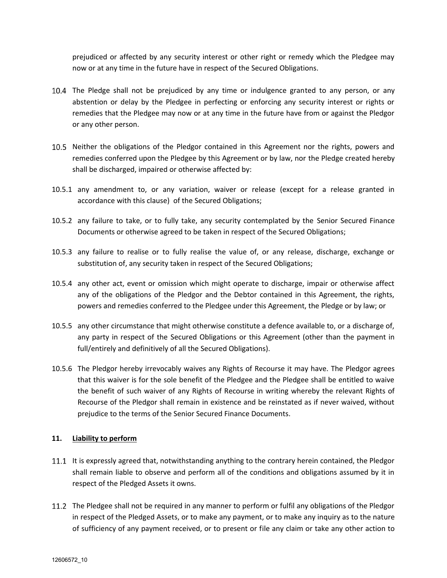prejudiced or affected by any security interest or other right or remedy which the Pledgee may now or at any time in the future have in respect of the Secured Obligations.

- The Pledge shall not be prejudiced by any time or indulgence granted to any person, or any abstention or delay by the Pledgee in perfecting or enforcing any security interest or rights or remedies that the Pledgee may now or at any time in the future have from or against the Pledgor or any other person.
- 10.5 Neither the obligations of the Pledgor contained in this Agreement nor the rights, powers and remedies conferred upon the Pledgee by this Agreement or by law, nor the Pledge created hereby shall be discharged, impaired or otherwise affected by:
- 10.5.1 any amendment to, or any variation, waiver or release (except for a release granted in accordance with this clause) of the Secured Obligations;
- 10.5.2 any failure to take, or to fully take, any security contemplated by the Senior Secured Finance Documents or otherwise agreed to be taken in respect of the Secured Obligations;
- 10.5.3 any failure to realise or to fully realise the value of, or any release, discharge, exchange or substitution of, any security taken in respect of the Secured Obligations;
- 10.5.4 any other act, event or omission which might operate to discharge, impair or otherwise affect any of the obligations of the Pledgor and the Debtor contained in this Agreement, the rights, powers and remedies conferred to the Pledgee under this Agreement, the Pledge or by law; or
- 10.5.5 any other circumstance that might otherwise constitute a defence available to, or a discharge of, any party in respect of the Secured Obligations or this Agreement (other than the payment in full/entirely and definitively of all the Secured Obligations).
- 10.5.6 The Pledgor hereby irrevocably waives any Rights of Recourse it may have. The Pledgor agrees that this waiver is for the sole benefit of the Pledgee and the Pledgee shall be entitled to waive the benefit of such waiver of any Rights of Recourse in writing whereby the relevant Rights of Recourse of the Pledgor shall remain in existence and be reinstated as if never waived, without prejudice to the terms of the Senior Secured Finance Documents.

## **11. Liability to perform**

- 11.1 It is expressly agreed that, notwithstanding anything to the contrary herein contained, the Pledgor shall remain liable to observe and perform all of the conditions and obligations assumed by it in respect of the Pledged Assets it owns.
- 11.2 The Pledgee shall not be required in any manner to perform or fulfil any obligations of the Pledgor in respect of the Pledged Assets, or to make any payment, or to make any inquiry as to the nature of sufficiency of any payment received, or to present or file any claim or take any other action to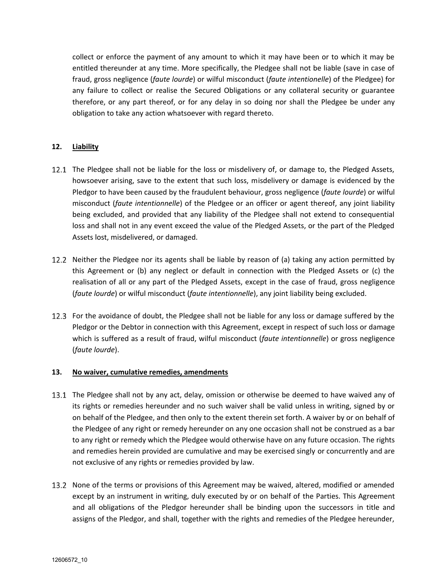collect or enforce the payment of any amount to which it may have been or to which it may be entitled thereunder at any time. More specifically, the Pledgee shall not be liable (save in case of fraud, gross negligence (*faute lourde*) or wilful misconduct (*faute intentionelle*) of the Pledgee) for any failure to collect or realise the Secured Obligations or any collateral security or guarantee therefore, or any part thereof, or for any delay in so doing nor shall the Pledgee be under any obligation to take any action whatsoever with regard thereto.

## **12. Liability**

- 12.1 The Pledgee shall not be liable for the loss or misdelivery of, or damage to, the Pledged Assets, howsoever arising, save to the extent that such loss, misdelivery or damage is evidenced by the Pledgor to have been caused by the fraudulent behaviour, gross negligence (*faute lourde*) or wilful misconduct (*faute intentionnelle*) of the Pledgee or an officer or agent thereof, any joint liability being excluded, and provided that any liability of the Pledgee shall not extend to consequential loss and shall not in any event exceed the value of the Pledged Assets, or the part of the Pledged Assets lost, misdelivered, or damaged.
- 12.2 Neither the Pledgee nor its agents shall be liable by reason of (a) taking any action permitted by this Agreement or (b) any neglect or default in connection with the Pledged Assets or (c) the realisation of all or any part of the Pledged Assets, except in the case of fraud, gross negligence (*faute lourde*) or wilful misconduct (*faute intentionnelle*), any joint liability being excluded.
- 12.3 For the avoidance of doubt, the Pledgee shall not be liable for any loss or damage suffered by the Pledgor or the Debtor in connection with this Agreement, except in respect of such loss or damage which is suffered as a result of fraud, wilful misconduct (*faute intentionnelle*) or gross negligence (*faute lourde*).

## **13. No waiver, cumulative remedies, amendments**

- 13.1 The Pledgee shall not by any act, delay, omission or otherwise be deemed to have waived any of its rights or remedies hereunder and no such waiver shall be valid unless in writing, signed by or on behalf of the Pledgee, and then only to the extent therein set forth. A waiver by or on behalf of the Pledgee of any right or remedy hereunder on any one occasion shall not be construed as a bar to any right or remedy which the Pledgee would otherwise have on any future occasion. The rights and remedies herein provided are cumulative and may be exercised singly or concurrently and are not exclusive of any rights or remedies provided by law.
- 13.2 None of the terms or provisions of this Agreement may be waived, altered, modified or amended except by an instrument in writing, duly executed by or on behalf of the Parties. This Agreement and all obligations of the Pledgor hereunder shall be binding upon the successors in title and assigns of the Pledgor, and shall, together with the rights and remedies of the Pledgee hereunder,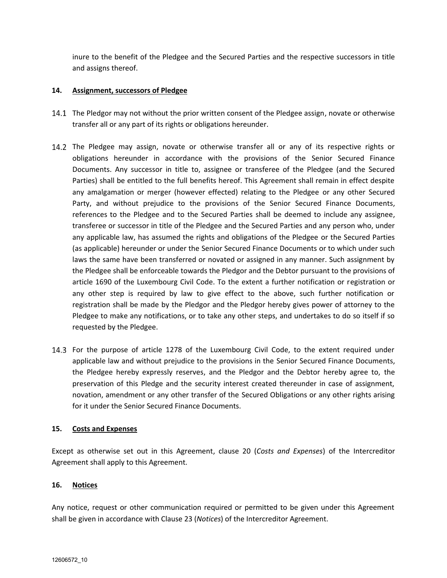inure to the benefit of the Pledgee and the Secured Parties and the respective successors in title and assigns thereof.

### **14. Assignment, successors of Pledgee**

- 14.1 The Pledgor may not without the prior written consent of the Pledgee assign, novate or otherwise transfer all or any part of its rights or obligations hereunder.
- 14.2 The Pledgee may assign, novate or otherwise transfer all or any of its respective rights or obligations hereunder in accordance with the provisions of the Senior Secured Finance Documents. Any successor in title to, assignee or transferee of the Pledgee (and the Secured Parties) shall be entitled to the full benefits hereof. This Agreement shall remain in effect despite any amalgamation or merger (however effected) relating to the Pledgee or any other Secured Party, and without prejudice to the provisions of the Senior Secured Finance Documents, references to the Pledgee and to the Secured Parties shall be deemed to include any assignee, transferee or successor in title of the Pledgee and the Secured Parties and any person who, under any applicable law, has assumed the rights and obligations of the Pledgee or the Secured Parties (as applicable) hereunder or under the Senior Secured Finance Documents or to which under such laws the same have been transferred or novated or assigned in any manner. Such assignment by the Pledgee shall be enforceable towards the Pledgor and the Debtor pursuant to the provisions of article 1690 of the Luxembourg Civil Code. To the extent a further notification or registration or any other step is required by law to give effect to the above, such further notification or registration shall be made by the Pledgor and the Pledgor hereby gives power of attorney to the Pledgee to make any notifications, or to take any other steps, and undertakes to do so itself if so requested by the Pledgee.
- 14.3 For the purpose of article 1278 of the Luxembourg Civil Code, to the extent required under applicable law and without prejudice to the provisions in the Senior Secured Finance Documents, the Pledgee hereby expressly reserves, and the Pledgor and the Debtor hereby agree to, the preservation of this Pledge and the security interest created thereunder in case of assignment, novation, amendment or any other transfer of the Secured Obligations or any other rights arising for it under the Senior Secured Finance Documents.

#### **15. Costs and Expenses**

Except as otherwise set out in this Agreement, clause 20 (*Costs and Expenses*) of the Intercreditor Agreement shall apply to this Agreement.

#### **16. Notices**

Any notice, request or other communication required or permitted to be given under this Agreement shall be given in accordance with Clause 23 (*Notices*) of the Intercreditor Agreement.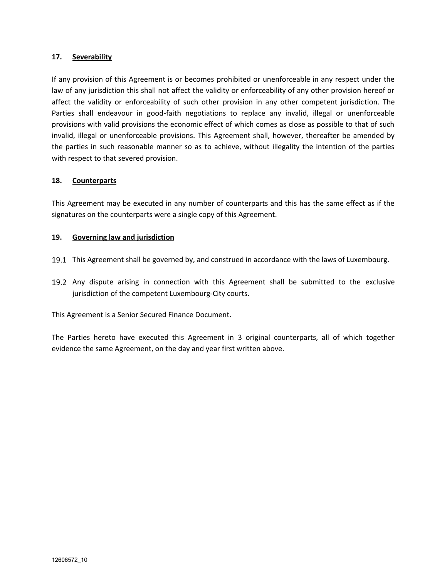#### **17. Severability**

If any provision of this Agreement is or becomes prohibited or unenforceable in any respect under the law of any jurisdiction this shall not affect the validity or enforceability of any other provision hereof or affect the validity or enforceability of such other provision in any other competent jurisdiction. The Parties shall endeavour in good-faith negotiations to replace any invalid, illegal or unenforceable provisions with valid provisions the economic effect of which comes as close as possible to that of such invalid, illegal or unenforceable provisions. This Agreement shall, however, thereafter be amended by the parties in such reasonable manner so as to achieve, without illegality the intention of the parties with respect to that severed provision.

### **18. Counterparts**

This Agreement may be executed in any number of counterparts and this has the same effect as if the signatures on the counterparts were a single copy of this Agreement.

### **19. Governing law and jurisdiction**

- This Agreement shall be governed by, and construed in accordance with the laws of Luxembourg.
- 19.2 Any dispute arising in connection with this Agreement shall be submitted to the exclusive jurisdiction of the competent Luxembourg-City courts.

This Agreement is a Senior Secured Finance Document.

The Parties hereto have executed this Agreement in 3 original counterparts, all of which together evidence the same Agreement, on the day and year first written above.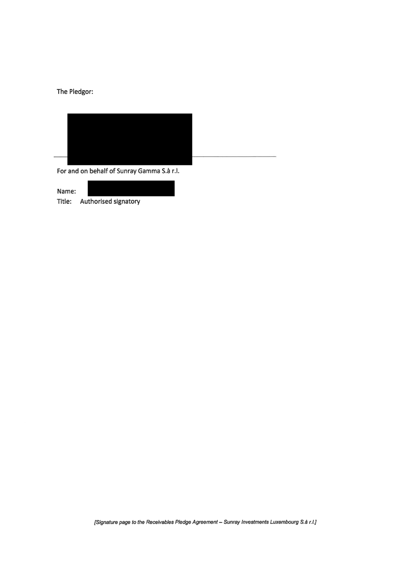# The Pledgor:



For and on behalf of Sunray Gamma S.à r.l.

| Name:  |                             |
|--------|-----------------------------|
| Title: | <b>Authorised signatory</b> |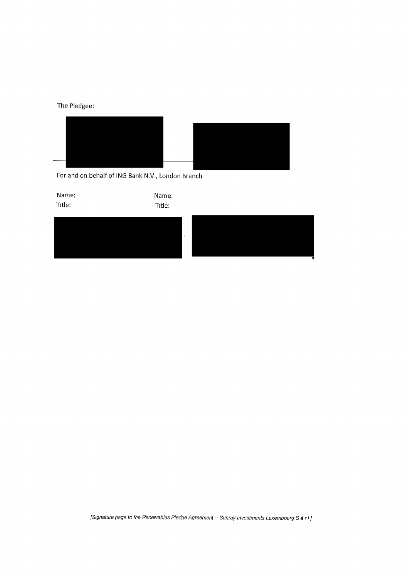The Pledgee:



For and on behalf of ING Bank N.V., London Branch



*[Signature page to the Receivables Pledge Agreement- Sunray Investments Luxembourg Sari]*